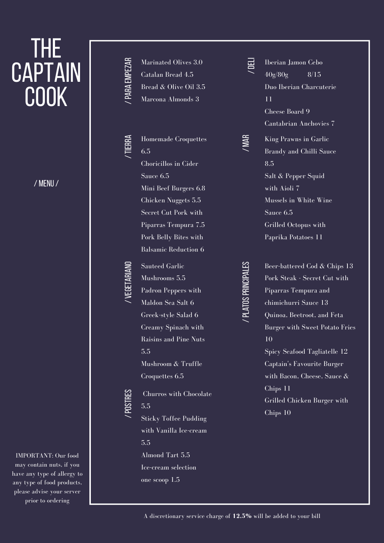# THE **CAPTAIN** COOK

/ MENU/

### IMPORTANT: Our food may contain nuts, if you have any type of allergy to any type of food products, please advise your server prior to ordering

/PA RA EMPEZ ARMarinated Olives 3.0 Catalan Bread 4.5 Bread & Olive Oil 3.5 Marcona Almonds 3

> Homemade Croquettes 6.5 Choricillos in Cider Sauce 6.5 Mini Beef Burgers 6.8 Chicken Nuggets 5.5 Secret Cut Pork with Piparras Tempura 7.5 Pork Belly Bites with Balsamic Reduction 6

 $\checkmark$ TIER RA

/VEGET ARIA NO

Sauteed Garlic Mushrooms 5.5 Padron Peppers with Maldon Sea Salt 6 Greek-style Salad 6 Creamy Spinach with Raisins and Pine Nuts 5.5 Mushroom & Truffle Croquettes 6.5

/POST RES Churros with Chocolate 5.5 Sticky Toffee Pudding with Vanilla Ice-cream 5.5 Almond Tart 5.5 Ice-cream selection one scoop 1.5

 $\checkmark$ DELI Iberian Jamon Cebo  $40g/80g$  8/15 Duo Iberian Charcuterie 11 Cheese Board 9 /MAR

Cantabrian Anchovies 7 King Prawns in Garlic Brandy and Chilli Sauce 8.5 Salt & Pepper Squid with Aioli 7 Mussels in White Wine Sauce 6.5 Grilled Octopus with Paprika Potatoes 11

/PLA TOSPRINCIPALES

Beer-battered Cod & Chips 13 Pork Steak - Secret Cut with Piparras Tempura and chimichurri Sauce 13 Quinoa, Beetroot, and Feta Burger with Sweet Potato Fries 10 Spicy Seafood Tagliatelle 12 Captain's Favourite Burger with Bacon, Cheese, Sauce & Chips 11 Grilled Chicken Burger with

Chips 10

A discretionary service charge of **12.5%** will be added to your bill